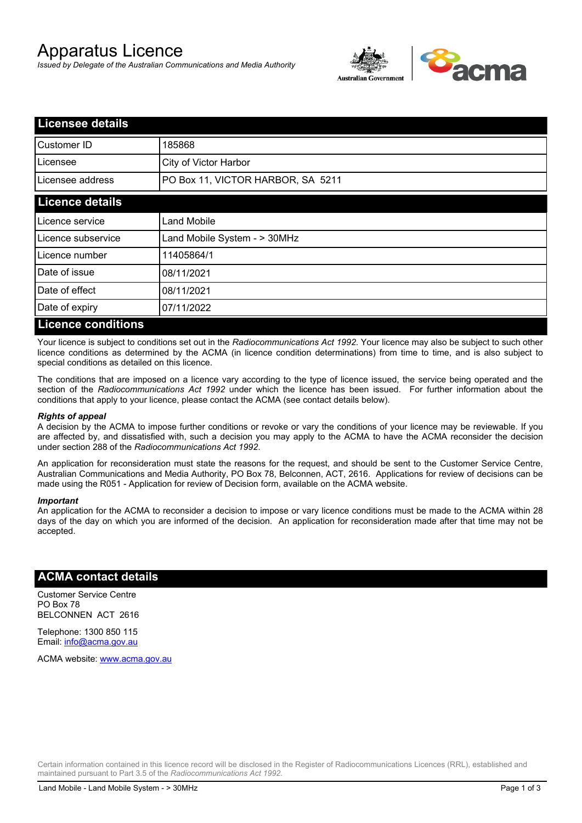# Apparatus Licence

*Issued by Delegate of the Australian Communications and Media Authority*



| <b>Licensee details</b>   |                                   |  |
|---------------------------|-----------------------------------|--|
| Customer ID               | 185868                            |  |
| Licensee                  | City of Victor Harbor             |  |
| Licensee address          | PO Box 11, VICTOR HARBOR, SA 5211 |  |
| <b>Licence details</b>    |                                   |  |
| Licence service           | <b>Land Mobile</b>                |  |
| Licence subservice        | Land Mobile System - > 30MHz      |  |
| Licence number            | 11405864/1                        |  |
| Date of issue             | 08/11/2021                        |  |
| Date of effect            | 08/11/2021                        |  |
| Date of expiry            | 07/11/2022                        |  |
| <b>Licence conditions</b> |                                   |  |

Your licence is subject to conditions set out in the *Radiocommunications Act 1992*. Your licence may also be subject to such other licence conditions as determined by the ACMA (in licence condition determinations) from time to time, and is also subject to special conditions as detailed on this licence.

The conditions that are imposed on a licence vary according to the type of licence issued, the service being operated and the section of the *Radiocommunications Act 1992* under which the licence has been issued. For further information about the conditions that apply to your licence, please contact the ACMA (see contact details below).

#### *Rights of appeal*

A decision by the ACMA to impose further conditions or revoke or vary the conditions of your licence may be reviewable. If you are affected by, and dissatisfied with, such a decision you may apply to the ACMA to have the ACMA reconsider the decision under section 288 of the *Radiocommunications Act 1992*.

An application for reconsideration must state the reasons for the request, and should be sent to the Customer Service Centre, Australian Communications and Media Authority, PO Box 78, Belconnen, ACT, 2616. Applications for review of decisions can be made using the R051 - Application for review of Decision form, available on the ACMA website.

#### *Important*

An application for the ACMA to reconsider a decision to impose or vary licence conditions must be made to the ACMA within 28 days of the day on which you are informed of the decision. An application for reconsideration made after that time may not be accepted.

### **ACMA contact details**

Customer Service Centre PO Box 78 BELCONNEN ACT 2616

Telephone: 1300 850 115 Email: info@acma.gov.au

ACMA website: www.acma.gov.au

Certain information contained in this licence record will be disclosed in the Register of Radiocommunications Licences (RRL), established and maintained pursuant to Part 3.5 of the *Radiocommunications Act 1992.*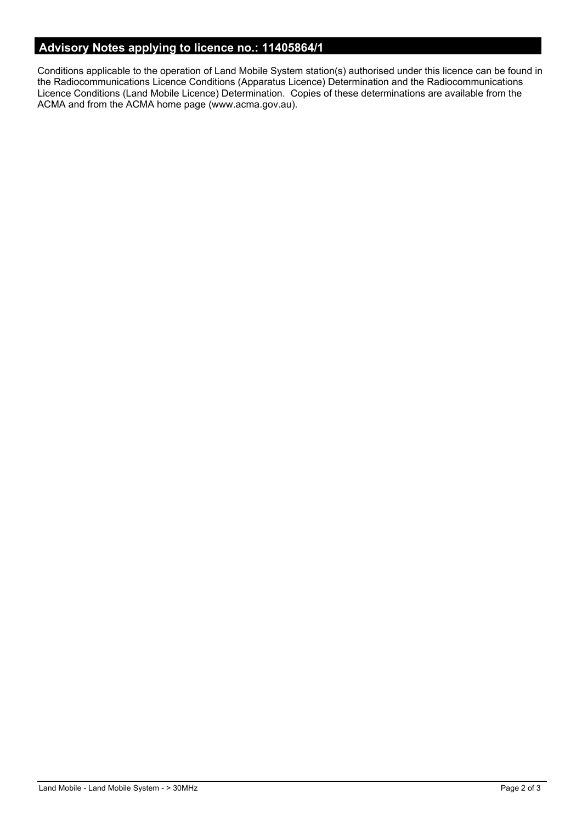# **Advisory Notes applying to licence no.: 11405864/1**

Conditions applicable to the operation of Land Mobile System station(s) authorised under this licence can be found in the Radiocommunications Licence Conditions (Apparatus Licence) Determination and the Radiocommunications Licence Conditions (Land Mobile Licence) Determination. Copies of these determinations are available from the ACMA and from the ACMA home page (www.acma.gov.au).